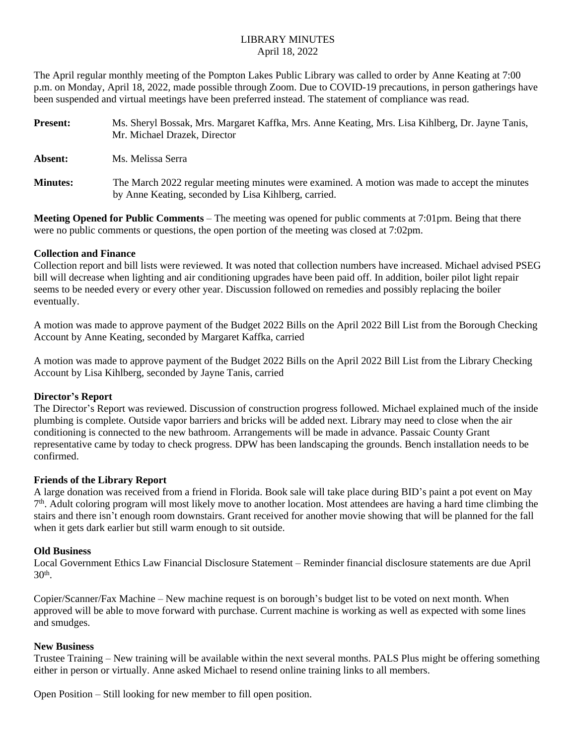# LIBRARY MINUTES April 18, 2022

The April regular monthly meeting of the Pompton Lakes Public Library was called to order by Anne Keating at 7:00 p.m. on Monday, April 18, 2022, made possible through Zoom. Due to COVID-19 precautions, in person gatherings have been suspended and virtual meetings have been preferred instead. The statement of compliance was read.

| <b>Present:</b> | Ms. Sheryl Bossak, Mrs. Margaret Kaffka, Mrs. Anne Keating, Mrs. Lisa Kihlberg, Dr. Jayne Tanis,<br>Mr. Michael Drazek, Director                      |
|-----------------|-------------------------------------------------------------------------------------------------------------------------------------------------------|
| Absent:         | Ms. Melissa Serra                                                                                                                                     |
| <b>Minutes:</b> | The March 2022 regular meeting minutes were examined. A motion was made to accept the minutes<br>by Anne Keating, seconded by Lisa Kihlberg, carried. |

**Meeting Opened for Public Comments** – The meeting was opened for public comments at 7:01pm. Being that there were no public comments or questions, the open portion of the meeting was closed at 7:02pm.

#### **Collection and Finance**

Collection report and bill lists were reviewed. It was noted that collection numbers have increased. Michael advised PSEG bill will decrease when lighting and air conditioning upgrades have been paid off. In addition, boiler pilot light repair seems to be needed every or every other year. Discussion followed on remedies and possibly replacing the boiler eventually.

A motion was made to approve payment of the Budget 2022 Bills on the April 2022 Bill List from the Borough Checking Account by Anne Keating, seconded by Margaret Kaffka, carried

A motion was made to approve payment of the Budget 2022 Bills on the April 2022 Bill List from the Library Checking Account by Lisa Kihlberg, seconded by Jayne Tanis, carried

## **Director's Report**

The Director's Report was reviewed. Discussion of construction progress followed. Michael explained much of the inside plumbing is complete. Outside vapor barriers and bricks will be added next. Library may need to close when the air conditioning is connected to the new bathroom. Arrangements will be made in advance. Passaic County Grant representative came by today to check progress. DPW has been landscaping the grounds. Bench installation needs to be confirmed.

## **Friends of the Library Report**

A large donation was received from a friend in Florida. Book sale will take place during BID's paint a pot event on May 7 th. Adult coloring program will most likely move to another location. Most attendees are having a hard time climbing the stairs and there isn't enough room downstairs. Grant received for another movie showing that will be planned for the fall when it gets dark earlier but still warm enough to sit outside.

#### **Old Business**

Local Government Ethics Law Financial Disclosure Statement – Reminder financial disclosure statements are due April 30th .

Copier/Scanner/Fax Machine – New machine request is on borough's budget list to be voted on next month. When approved will be able to move forward with purchase. Current machine is working as well as expected with some lines and smudges.

## **New Business**

Trustee Training – New training will be available within the next several months. PALS Plus might be offering something either in person or virtually. Anne asked Michael to resend online training links to all members.

Open Position – Still looking for new member to fill open position.